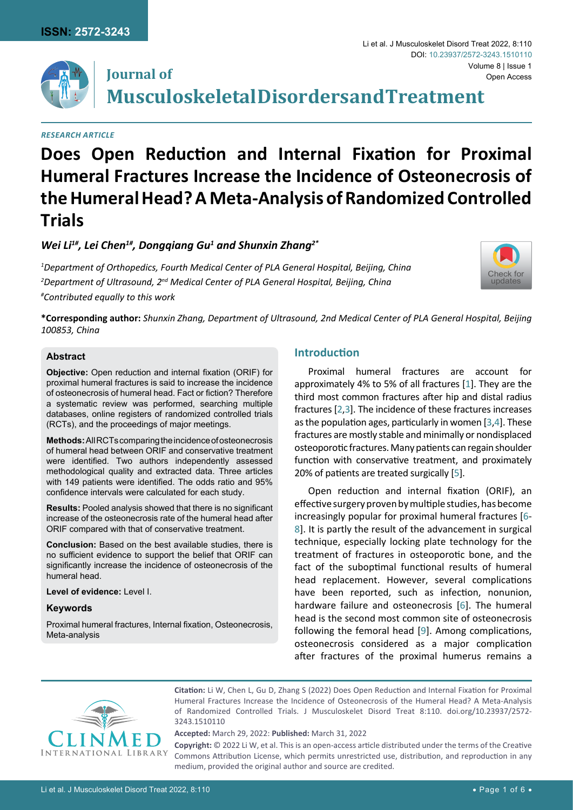**Journal of**



# Volume 8 | Issue 1 **Musculoskeletal Disorders and Treatment** Open Access DOI: [10.23937/2572-3243.1510110](https://doi.org/10.23937/2572-3243.1510110)

Li et al. J Musculoskelet Disord Treat 2022, 8:110

#### *Research Article*

# **Does Open Reduction and Internal Fixation for Proximal**

# **Humeral Fractures Increase the Incidence of Osteonecrosis of the Humeral Head? A Meta-Analysis of Randomized Controlled Trials**

# *Wei Li1#, Lei Chen1#, Dongqiang Gu1 and Shunxin Zhang2\**

*1 Department of Orthopedics, Fourth Medical Center of PLA General Hospital, Beijing, China 2 Department of Ultrasound, 2nd Medical Center of PLA General Hospital, Beijing, China # Contributed equally to this work*



**\*Corresponding author:** *Shunxin Zhang, Department of Ultrasound, 2nd Medical Center of PLA General Hospital, Beijing 100853, China*

#### **Abstract**

**Objective:** Open reduction and internal fixation (ORIF) for proximal humeral fractures is said to increase the incidence of osteonecrosis of humeral head. Fact or fiction? Therefore a systematic review was performed, searching multiple databases, online registers of randomized controlled trials (RCTs), and the proceedings of major meetings.

**Methods:** All RCTs comparing the incidence of osteonecrosis of humeral head between ORIF and conservative treatment were identified. Two authors independently assessed methodological quality and extracted data. Three articles with 149 patients were identified. The odds ratio and 95% confidence intervals were calculated for each study.

**Results:** Pooled analysis showed that there is no significant increase of the osteonecrosis rate of the humeral head after ORIF compared with that of conservative treatment.

**Conclusion:** Based on the best available studies, there is no sufficient evidence to support the belief that ORIF can significantly increase the incidence of osteonecrosis of the humeral head.

**Level of evidence:** Level I.

#### **Keywords**

Proximal humeral fractures, Internal fixation, Osteonecrosis, Meta-analysis

# **Introduction**

Proximal humeral fractures are account for approximately 4% to 5% of all fractures [[1](#page-4-0)]. They are the third most common fractures after hip and distal radius fractures [[2,](#page-4-1)[3\]](#page-4-2). The incidence of these fractures increases as the population ages, particularly in women [[3](#page-4-2),[4](#page-4-3)]. These fractures are mostly stable and minimally or nondisplaced osteoporotic fractures. Many patients can regain shoulder function with conservative treatment, and proximately 20% of patients are treated surgically [\[5](#page-5-0)].

Open reduction and internal fixation (ORIF), an effective surgery proven by multiple studies, has become increasingly popular for proximal humeral fractures [[6](#page-5-1)- [8\]](#page-5-2). It is partly the result of the advancement in surgical technique, especially locking plate technology for the treatment of fractures in osteoporotic bone, and the fact of the suboptimal functional results of humeral head replacement. However, several complications have been reported, such as infection, nonunion, hardware failure and osteonecrosis [[6](#page-5-1)]. The humeral head is the second most common site of osteonecrosis following the femoral head [\[9\]](#page-5-3). Among complications, osteonecrosis considered as a major complication after fractures of the proximal humerus remains a



**Citation:** Li W, Chen L, Gu D, Zhang S (2022) Does Open Reduction and Internal Fixation for Proximal Humeral Fractures Increase the Incidence of Osteonecrosis of the Humeral Head? A Meta-Analysis of Randomized Controlled Trials. J Musculoskelet Disord Treat 8:110. [doi.org/10.23937/2572-](https://doi.org/10.23937/2572-3243.1510110) [3243.1510110](https://doi.org/10.23937/2572-3243.1510110)

**Accepted:** March 29, 2022: **Published:** March 31, 2022

**Copyright:** © 2022 Li W, et al. This is an open-access article distributed under the terms of the Creative Commons Attribution License, which permits unrestricted use, distribution, and reproduction in any medium, provided the original author and source are credited.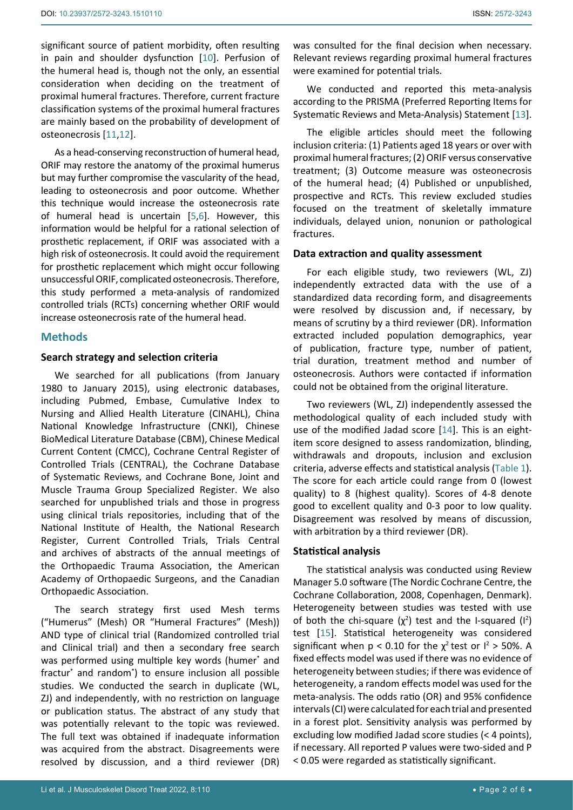significant source of patient morbidity, often resulting in pain and shoulder dysfunction [\[10](#page-5-4)]. Perfusion of the humeral head is, though not the only, an essential consideration when deciding on the treatment of proximal humeral fractures. Therefore, current fracture classification systems of the proximal humeral fractures are mainly based on the probability of development of osteonecrosis [\[11](#page-5-5),[12](#page-5-6)].

As a head-conserving reconstruction of humeral head, ORIF may restore the anatomy of the proximal humerus but may further compromise the vascularity of the head, leading to osteonecrosis and poor outcome. Whether this technique would increase the osteonecrosis rate of humeral head is uncertain [\[5](#page-5-0)[,6](#page-5-1)]. However, this information would be helpful for a rational selection of prosthetic replacement, if ORIF was associated with a high risk of osteonecrosis. It could avoid the requirement for prosthetic replacement which might occur following unsuccessful ORIF, complicated osteonecrosis. Therefore, this study performed a meta-analysis of randomized controlled trials (RCTs) concerning whether ORIF would increase osteonecrosis rate of the humeral head.

#### **Methods**

#### **Search strategy and selection criteria**

We searched for all publications (from January 1980 to January 2015), using electronic databases, including Pubmed, Embase, Cumulative Index to Nursing and Allied Health Literature (CINAHL), China National Knowledge Infrastructure (CNKI), Chinese BioMedical Literature Database (CBM), Chinese Medical Current Content (CMCC), Cochrane Central Register of Controlled Trials (CENTRAL), the Cochrane Database of Systematic Reviews, and Cochrane Bone, Joint and Muscle Trauma Group Specialized Register. We also searched for unpublished trials and those in progress using clinical trials repositories, including that of the National Institute of Health, the National Research Register, Current Controlled Trials, Trials Central and archives of abstracts of the annual meetings of the Orthopaedic Trauma Association, the American Academy of Orthopaedic Surgeons, and the Canadian Orthopaedic Association.

The search strategy first used Mesh terms ("Humerus" (Mesh) OR "Humeral Fractures" (Mesh)) AND type of clinical trial (Randomized controlled trial and Clinical trial) and then a secondary free search was performed using multiple key words (humer\* and fractur\* and random\* ) to ensure inclusion all possible studies. We conducted the search in duplicate (WL, ZJ) and independently, with no restriction on language or publication status. The abstract of any study that was potentially relevant to the topic was reviewed. The full text was obtained if inadequate information was acquired from the abstract. Disagreements were resolved by discussion, and a third reviewer (DR)

was consulted for the final decision when necessary. Relevant reviews regarding proximal humeral fractures were examined for potential trials.

We conducted and reported this meta-analysis according to the PRISMA (Preferred Reporting Items for Systematic Reviews and Meta-Analysis) Statement [\[13\]](#page-5-7).

The eligible articles should meet the following inclusion criteria: (1) Patients aged 18 years or over with proximal humeral fractures; (2) ORIF versus conservative treatment; (3) Outcome measure was osteonecrosis of the humeral head; (4) Published or unpublished, prospective and RCTs. This review excluded studies focused on the treatment of skeletally immature individuals, delayed union, nonunion or pathological fractures.

#### **Data extraction and quality assessment**

For each eligible study, two reviewers (WL, ZJ) independently extracted data with the use of a standardized data recording form, and disagreements were resolved by discussion and, if necessary, by means of scrutiny by a third reviewer (DR). Information extracted included population demographics, year of publication, fracture type, number of patient, trial duration, treatment method and number of osteonecrosis. Authors were contacted if information could not be obtained from the original literature.

Two reviewers (WL, ZJ) independently assessed the methodological quality of each included study with use of the modified Jadad score [\[14](#page-5-8)]. This is an eightitem score designed to assess randomization, blinding, withdrawals and dropouts, inclusion and exclusion criteria, adverse effects and statistical analysis (Table 1). The score for each article could range from 0 (lowest quality) to 8 (highest quality). Scores of 4-8 denote good to excellent quality and 0-3 poor to low quality. Disagreement was resolved by means of discussion, with arbitration by a third reviewer (DR).

#### **Statistical analysis**

The statistical analysis was conducted using Review Manager 5.0 software (The Nordic Cochrane Centre, the Cochrane Collaboration, 2008, Copenhagen, Denmark). Heterogeneity between studies was tested with use of both the chi-square  $(\chi^2)$  test and the I-squared  $(I^2)$ test [[15\]](#page-5-9). Statistical heterogeneity was considered significant when  $p < 0.10$  for the  $\chi^2$  test or  $l^2 > 50\%$ . A fixed effects model was used if there was no evidence of heterogeneity between studies; if there was evidence of heterogeneity, a random effects model was used for the meta-analysis. The odds ratio (OR) and 95% confidence intervals (CI) were calculated for each trial and presented in a forest plot. Sensitivity analysis was performed by excluding low modified Jadad score studies (< 4 points), if necessary. All reported P values were two-sided and P < 0.05 were regarded as statistically significant.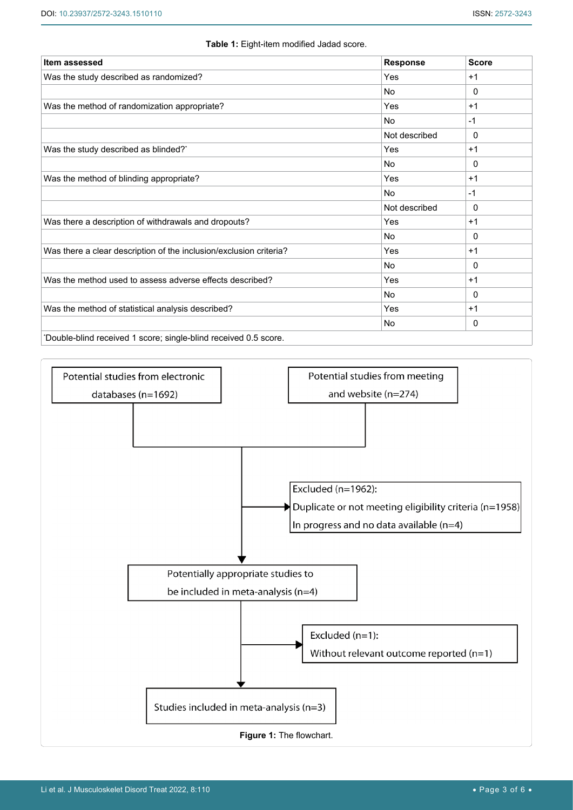| <b>Item assessed</b>                                               | <b>Response</b> | <b>Score</b> |
|--------------------------------------------------------------------|-----------------|--------------|
| Was the study described as randomized?                             | Yes             | $+1$         |
|                                                                    | <b>No</b>       | $\mathbf{0}$ |
| Was the method of randomization appropriate?                       | Yes             | $+1$         |
|                                                                    | No              | $-1$         |
|                                                                    | Not described   | 0            |
| Was the study described as blinded? <sup>*</sup>                   | Yes             | $+1$         |
|                                                                    | <b>No</b>       | $\mathbf{0}$ |
| Was the method of blinding appropriate?                            | Yes             | $+1$         |
|                                                                    | <b>No</b>       | $-1$         |
|                                                                    | Not described   | 0            |
| Was there a description of withdrawals and dropouts?               | Yes             | $+1$         |
|                                                                    | No              | 0            |
| Was there a clear description of the inclusion/exclusion criteria? | Yes             | $+1$         |
|                                                                    | No              | 0            |
| Was the method used to assess adverse effects described?           | Yes             | $+1$         |
|                                                                    | <b>No</b>       | $\mathbf{0}$ |
| Was the method of statistical analysis described?                  | Yes             | $+1$         |
|                                                                    | No              | 0            |

#### **Table 1:** Eight-item modified Jadad score.

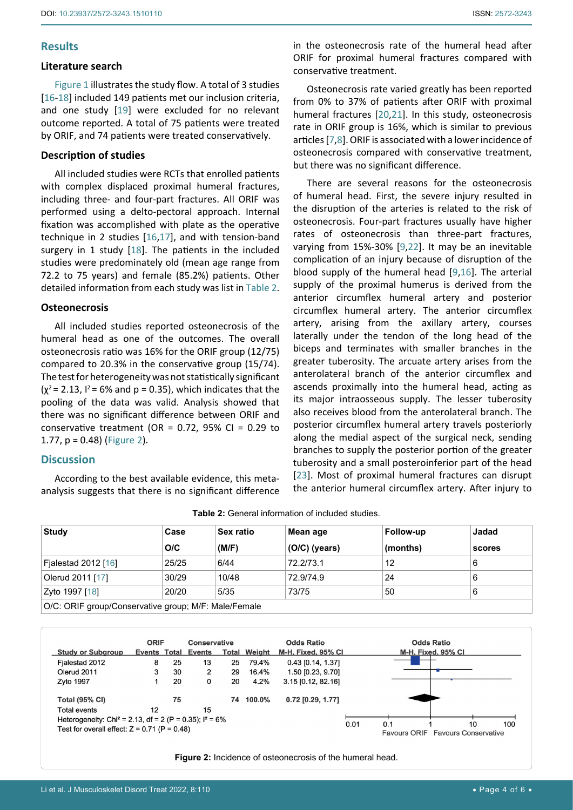# **Results**

#### **Literature search**

Figure 1 illustrates the study flow. A total of 3 studies [[16](#page-5-14)[-18\]](#page-5-16) included 149 patients met our inclusion criteria, and one study [\[19](#page-5-17)] were excluded for no relevant outcome reported. A total of 75 patients were treated by ORIF, and 74 patients were treated conservatively.

#### **Description of studies**

All included studies were RCTs that enrolled patients with complex displaced proximal humeral fractures, including three- and four-part fractures. All ORIF was performed using a delto-pectoral approach. Internal fixation was accomplished with plate as the operative technique in 2 studies [[16](#page-5-14),[17\]](#page-5-18), and with tension-band surgery in 1 study [[18](#page-5-16)]. The patients in the included studies were predominately old (mean age range from 72.2 to 75 years) and female (85.2%) patients. Other detailed information from each study was list in Table 2.

#### **Osteonecrosis**

All included studies reported osteonecrosis of the humeral head as one of the outcomes. The overall osteonecrosis ratio was 16% for the ORIF group (12/75) compared to 20.3% in the conservative group (15/74). The test for heterogeneity was not statistically significant  $(x^2 = 2.13, 1^2 = 6\%$  and  $p = 0.35$ ), which indicates that the pooling of the data was valid. Analysis showed that there was no significant difference between ORIF and conservative treatment (OR =  $0.72$ , 95% CI =  $0.29$  to 1.77, p = 0.48) (Figure 2).

### **Discussion**

According to the best available evidence, this metaanalysis suggests that there is no significant difference in the osteonecrosis rate of the humeral head after ORIF for proximal humeral fractures compared with conservative treatment.

Osteonecrosis rate varied greatly has been reported from 0% to 37% of patients after ORIF with proximal humeral fractures [[20](#page-5-10),[21](#page-5-11)]. In this study, osteonecrosis rate in ORIF group is 16%, which is similar to previous articles [[7](#page-5-12),[8\]](#page-5-2). ORIF is associated with a lower incidence of osteonecrosis compared with conservative treatment, but there was no significant difference.

There are several reasons for the osteonecrosis of humeral head. First, the severe injury resulted in the disruption of the arteries is related to the risk of osteonecrosis. Four-part fractures usually have higher rates of osteonecrosis than three-part fractures, varying from 15%-30% [[9](#page-5-3),[22](#page-5-13)]. It may be an inevitable complication of an injury because of disruption of the blood supply of the humeral head [\[9](#page-5-3),[16\]](#page-5-14). The arterial supply of the proximal humerus is derived from the anterior circumflex humeral artery and posterior circumflex humeral artery. The anterior circumflex artery, arising from the axillary artery, courses laterally under the tendon of the long head of the biceps and terminates with smaller branches in the greater tuberosity. The arcuate artery arises from the anterolateral branch of the anterior circumflex and ascends proximally into the humeral head, acting as its major intraosseous supply. The lesser tuberosity also receives blood from the anterolateral branch. The posterior circumflex humeral artery travels posteriorly along the medial aspect of the surgical neck, sending branches to supply the posterior portion of the greater tuberosity and a small posteroinferior part of the head [\[23](#page-5-15)]. Most of proximal humeral fractures can disrupt the anterior humeral circumflex artery. After injury to

| <b>Study</b>                                         | Case  | <b>Sex ratio</b> | Mean age        | Follow-up | Jadad  |  |  |
|------------------------------------------------------|-------|------------------|-----------------|-----------|--------|--|--|
|                                                      | O/C   | (M/F)            | $(O/C)$ (years) | (months)  | scores |  |  |
| Fjalestad 2012 [16]                                  | 25/25 | 6/44             | 72.2/73.1       | 12        | 6      |  |  |
| Olerud 2011 [17]                                     | 30/29 | 10/48            | 72.9/74.9       | 24        | 6      |  |  |
| Zyto 1997 [18]                                       | 20/20 | 5/35             | 73/75           | 50        | 6      |  |  |
| O/C: ORIF group/Conservative group; M/F: Male/Female |       |                  |                 |           |        |  |  |

**Table 2:** General information of included studies.

|                                                                       | <b>ORIF</b> |    | <b>Conservative</b> |    |                     | <b>Odds Ratio</b>    |      |     | <b>Odds Ratio</b>                              |     |
|-----------------------------------------------------------------------|-------------|----|---------------------|----|---------------------|----------------------|------|-----|------------------------------------------------|-----|
| <b>Study or Subgroup</b>                                              |             |    | Events Total Events |    | <b>Total Weight</b> | M-H, Fixed, 95% CI   |      |     | M-H, Fixed, 95% CI                             |     |
| Fialestad 2012                                                        | 8           | 25 | 13                  | 25 | 79.4%               | $0.43$ [0.14, 1.37]  |      |     |                                                |     |
| Olerud 2011                                                           | 3           | 30 | 2                   | 29 | 16.4%               | 1.50 [0.23, 9.70]    |      |     |                                                |     |
| Zyto 1997                                                             |             | 20 | 0                   | 20 | 4.2%                | $3.15$ [0.12, 82.16] |      |     |                                                |     |
| <b>Total (95% CI)</b>                                                 |             | 75 |                     | 74 | 100.0%              | $0.72$ [0.29, 1.77]  |      |     |                                                |     |
| Total events                                                          | 12          |    | 15                  |    |                     |                      |      |     |                                                |     |
| Heterogeneity: Chi <sup>2</sup> = 2.13, df = 2 (P = 0.35); $I^2$ = 6% |             |    |                     |    |                     |                      |      |     |                                                |     |
| Test for overall effect: $Z = 0.71$ (P = 0.48)                        |             |    |                     |    |                     |                      | 0.01 | 0.1 | 10<br><b>Favours ORIF</b> Favours Conservative | 100 |

**Figure 2:** Incidence of osteonecrosis of the humeral head.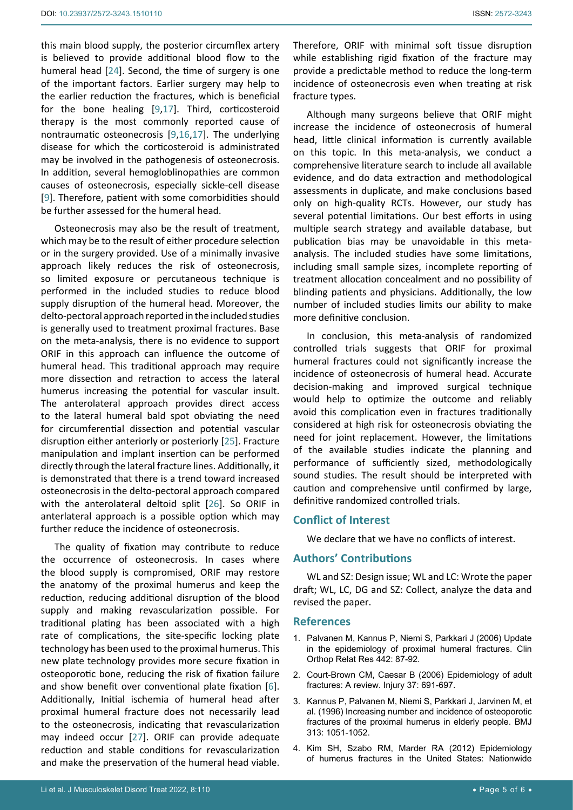this main blood supply, the posterior circumflex artery is believed to provide additional blood flow to the humeral head [\[24\]](#page-5-19). Second, the time of surgery is one of the important factors. Earlier surgery may help to the earlier reduction the fractures, which is beneficial for the bone healing [[9](#page-5-3),[17](#page-5-18)]. Third, corticosteroid therapy is the most commonly reported cause of nontraumatic osteonecrosis [[9](#page-5-3),[16](#page-5-14),[17\]](#page-5-18). The underlying disease for which the corticosteroid is administrated may be involved in the pathogenesis of osteonecrosis. In addition, several hemogloblinopathies are common causes of osteonecrosis, especially sickle-cell disease [[9](#page-5-3)]. Therefore, patient with some comorbidities should be further assessed for the humeral head.

Osteonecrosis may also be the result of treatment, which may be to the result of either procedure selection or in the surgery provided. Use of a minimally invasive approach likely reduces the risk of osteonecrosis, so limited exposure or percutaneous technique is performed in the included studies to reduce blood supply disruption of the humeral head. Moreover, the delto-pectoral approach reported in the included studies is generally used to treatment proximal fractures. Base on the meta-analysis, there is no evidence to support ORIF in this approach can influence the outcome of humeral head. This traditional approach may require more dissection and retraction to access the lateral humerus increasing the potential for vascular insult. The anterolateral approach provides direct access to the lateral humeral bald spot obviating the need for circumferential dissection and potential vascular disruption either anteriorly or posteriorly [\[25](#page-5-20)]. Fracture manipulation and implant insertion can be performed directly through the lateral fracture lines. Additionally, it is demonstrated that there is a trend toward increased osteonecrosis in the delto-pectoral approach compared with the anterolateral deltoid split [[26](#page-5-21)]. So ORIF in anterlateral approach is a possible option which may further reduce the incidence of osteonecrosis.

The quality of fixation may contribute to reduce the occurrence of osteonecrosis. In cases where the blood supply is compromised, ORIF may restore the anatomy of the proximal humerus and keep the reduction, reducing additional disruption of the blood supply and making revascularization possible. For traditional plating has been associated with a high rate of complications, the site-specific locking plate technology has been used to the proximal humerus. This new plate technology provides more secure fixation in osteoporotic bone, reducing the risk of fixation failure and show benefit over conventional plate fixation [[6](#page-5-1)]. Additionally, Initial ischemia of humeral head after proximal humeral fracture does not necessarily lead to the osteonecrosis, indicating that revascularization may indeed occur [\[27](#page-5-22)]. ORIF can provide adequate reduction and stable conditions for revascularization and make the preservation of the humeral head viable.

Therefore, ORIF with minimal soft tissue disruption while establishing rigid fixation of the fracture may provide a predictable method to reduce the long-term incidence of osteonecrosis even when treating at risk fracture types.

Although many surgeons believe that ORIF might increase the incidence of osteonecrosis of humeral head, little clinical information is currently available on this topic. In this meta-analysis, we conduct a comprehensive literature search to include all available evidence, and do data extraction and methodological assessments in duplicate, and make conclusions based only on high-quality RCTs. However, our study has several potential limitations. Our best efforts in using multiple search strategy and available database, but publication bias may be unavoidable in this metaanalysis. The included studies have some limitations, including small sample sizes, incomplete reporting of treatment allocation concealment and no possibility of blinding patients and physicians. Additionally, the low number of included studies limits our ability to make more definitive conclusion.

In conclusion, this meta-analysis of randomized controlled trials suggests that ORIF for proximal humeral fractures could not significantly increase the incidence of osteonecrosis of humeral head. Accurate decision-making and improved surgical technique would help to optimize the outcome and reliably avoid this complication even in fractures traditionally considered at high risk for osteonecrosis obviating the need for joint replacement. However, the limitations of the available studies indicate the planning and performance of sufficiently sized, methodologically sound studies. The result should be interpreted with caution and comprehensive until confirmed by large, definitive randomized controlled trials.

#### **Conflict of Interest**

We declare that we have no conflicts of interest.

#### **Authors' Contributions**

WL and SZ: Design issue; WL and LC: Wrote the paper draft; WL, LC, DG and SZ: Collect, analyze the data and revised the paper.

#### **References**

- <span id="page-4-0"></span>1. [Palvanen M, Kannus P, Niemi S, Parkkari J \(2006\) Update](https://pubmed.ncbi.nlm.nih.gov/16394745/)  [in the epidemiology of proximal humeral fractures. Clin](https://pubmed.ncbi.nlm.nih.gov/16394745/)  [Orthop Relat Res 442: 87-92.](https://pubmed.ncbi.nlm.nih.gov/16394745/)
- <span id="page-4-1"></span>2. [Court-Brown CM, Caesar B \(2006\) Epidemiology of adult](https://pubmed.ncbi.nlm.nih.gov/16814787/)  [fractures: A review. Injury 37: 691-697.](https://pubmed.ncbi.nlm.nih.gov/16814787/)
- <span id="page-4-2"></span>3. [Kannus P, Palvanen M, Niemi S, Parkkari J, Jarvinen M, et](https://pubmed.ncbi.nlm.nih.gov/8898596/)  [al. \(1996\) Increasing number and incidence of osteoporotic](https://pubmed.ncbi.nlm.nih.gov/8898596/)  [fractures of the proximal humerus in elderly people. BMJ](https://pubmed.ncbi.nlm.nih.gov/8898596/)  [313: 1051-1052.](https://pubmed.ncbi.nlm.nih.gov/8898596/)
- <span id="page-4-3"></span>4. [Kim SH, Szabo RM, Marder RA \(2012\) Epidemiology](https://pubmed.ncbi.nlm.nih.gov/22162357/)  [of humerus fractures in the United States: Nationwide](https://pubmed.ncbi.nlm.nih.gov/22162357/)